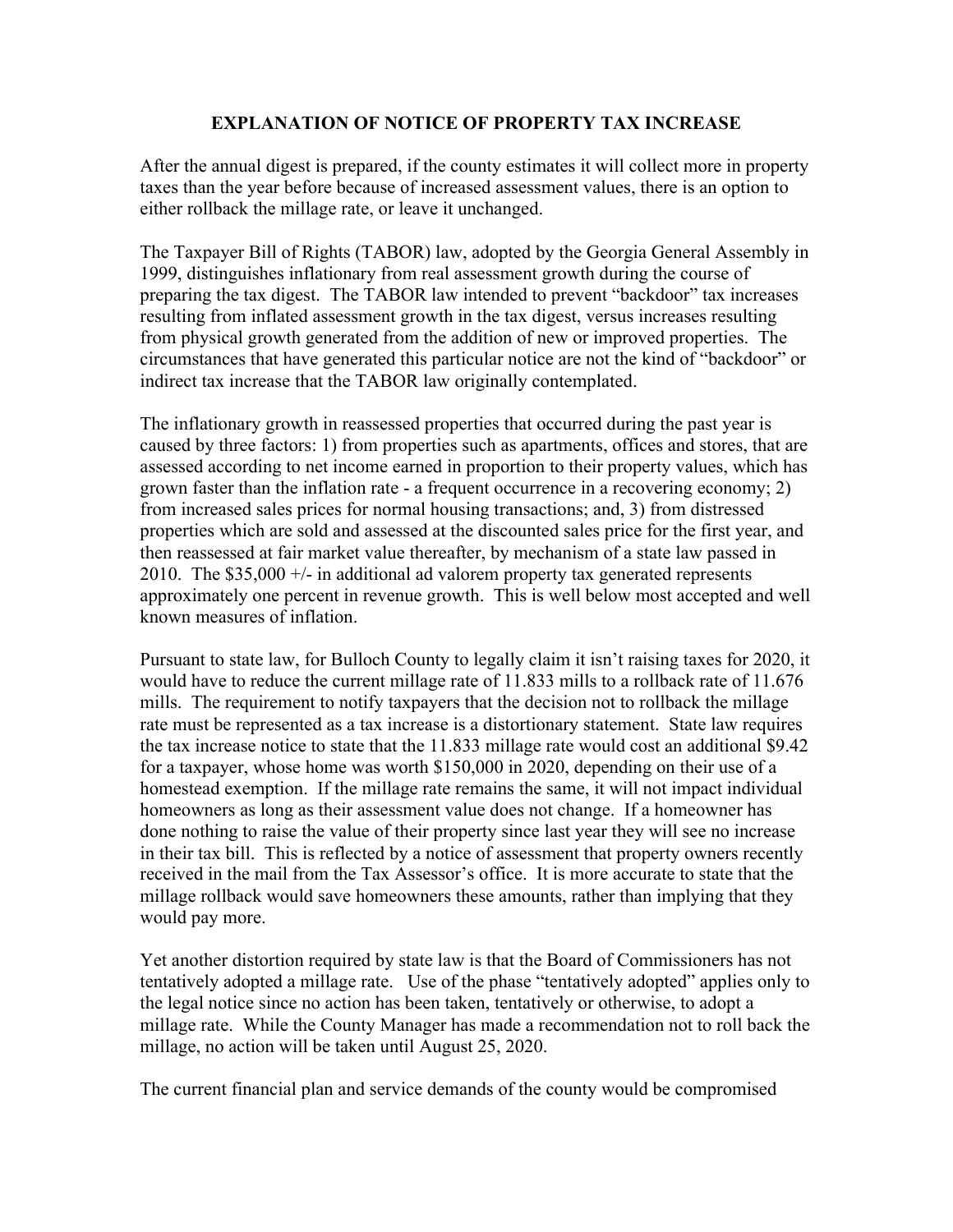## **EXPLANATION OF NOTICE OF PROPERTY TAX INCREASE**

After the annual digest is prepared, if the county estimates it will collect more in property taxes than the year before because of increased assessment values, there is an option to either rollback the millage rate, or leave it unchanged.

The Taxpayer Bill of Rights (TABOR) law, adopted by the Georgia General Assembly in 1999, distinguishes inflationary from real assessment growth during the course of preparing the tax digest. The TABOR law intended to prevent "backdoor" tax increases resulting from inflated assessment growth in the tax digest, versus increases resulting from physical growth generated from the addition of new or improved properties. The circumstances that have generated this particular notice are not the kind of "backdoor" or indirect tax increase that the TABOR law originally contemplated.

The inflationary growth in reassessed properties that occurred during the past year is caused by three factors: 1) from properties such as apartments, offices and stores, that are assessed according to net income earned in proportion to their property values, which has grown faster than the inflation rate - a frequent occurrence in a recovering economy; 2) from increased sales prices for normal housing transactions; and, 3) from distressed properties which are sold and assessed at the discounted sales price for the first year, and then reassessed at fair market value thereafter, by mechanism of a state law passed in 2010. The  $$35,000 +/-$  in additional ad valorem property tax generated represents approximately one percent in revenue growth. This is well below most accepted and well known measures of inflation.

Pursuant to state law, for Bulloch County to legally claim it isn't raising taxes for 2020, it would have to reduce the current millage rate of 11.833 mills to a rollback rate of 11.676 mills. The requirement to notify taxpayers that the decision not to rollback the millage rate must be represented as a tax increase is a distortionary statement. State law requires the tax increase notice to state that the 11.833 millage rate would cost an additional \$9.42 for a taxpayer, whose home was worth \$150,000 in 2020, depending on their use of a homestead exemption. If the millage rate remains the same, it will not impact individual homeowners as long as their assessment value does not change. If a homeowner has done nothing to raise the value of their property since last year they will see no increase in their tax bill. This is reflected by a notice of assessment that property owners recently received in the mail from the Tax Assessor's office. It is more accurate to state that the millage rollback would save homeowners these amounts, rather than implying that they would pay more.

Yet another distortion required by state law is that the Board of Commissioners has not tentatively adopted a millage rate. Use of the phase "tentatively adopted" applies only to the legal notice since no action has been taken, tentatively or otherwise, to adopt a millage rate. While the County Manager has made a recommendation not to roll back the millage, no action will be taken until August 25, 2020.

The current financial plan and service demands of the county would be compromised